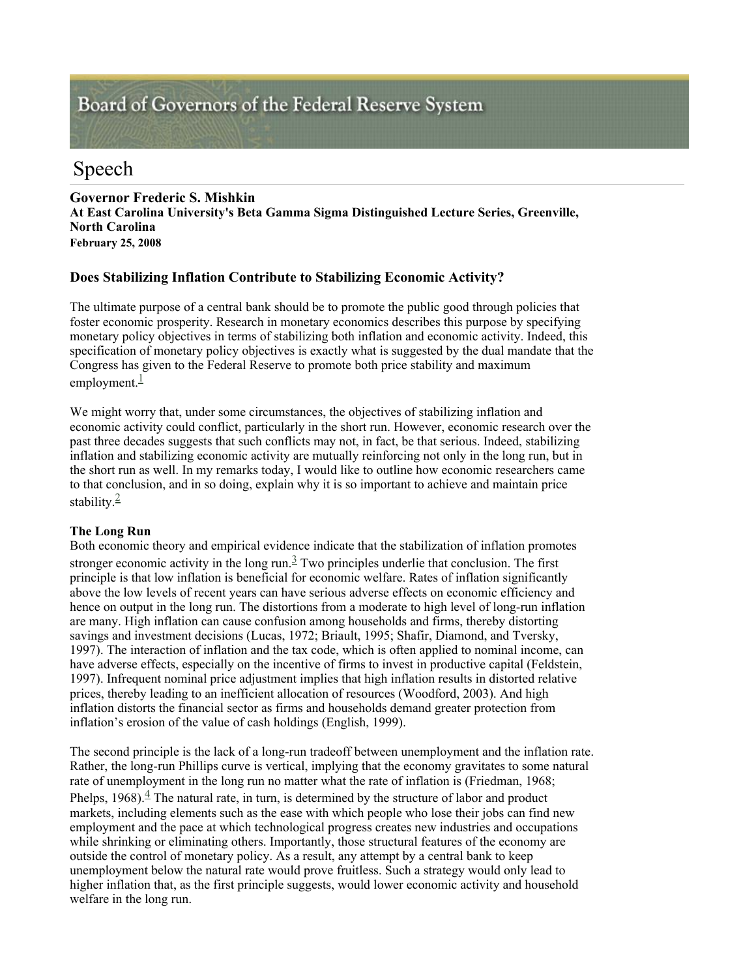# Board of Governors of the Federal Reserve System

## Speech

**Governor Frederic S. Mishkin At East Carolina University's Beta Gamma Sigma Distinguished Lecture Series, Greenville, North Carolina February 25, 2008** 

### **Does Stabilizing Inflation Contribute to Stabilizing Economic Activity?**

The ultimate purpose of a central bank should be to promote the public good through policies that foster economic prosperity. Research in monetary economics describes this purpose by specifying monetary policy objectives in terms of stabilizing both inflation and economic activity. Indeed, this specification of monetary policy objectives is exactly what is suggested by the dual mandate that the Congress has given to the Federal Reserve to promote both price stability and maximum employment. $\frac{1}{1}$ 

We might worry that, under some circumstances, the objectives of stabilizing inflation and economic activity could conflict, particularly in the short run. However, economic research over the past three decades suggests that such conflicts may not, in fact, be that serious. Indeed, stabilizing inflation and stabilizing economic activity are mutually reinforcing not only in the long run, but in the short run as well. In my remarks today, I would like to outline how economic researchers came to that conclusion, and in so doing, explain why it is so important to achieve and maintain price stability. $\frac{2}{3}$ 

#### **The Long Run**

Both economic theory and empirical evidence indicate that the stabilization of inflation promotes stronger economic activity in the long run.<sup>2</sup> Two principles underlie that conclusion. The first principle is that low inflation is beneficial for economic welfare. Rates of inflation significantly above the low levels of recent years can have serious adverse effects on economic efficiency and hence on output in the long run. The distortions from a moderate to high level of long-run inflation are many. High inflation can cause confusion among households and firms, thereby distorting savings and investment decisions (Lucas, 1972; Briault, 1995; Shafir, Diamond, and Tversky, 1997). The interaction of inflation and the tax code, which is often applied to nominal income, can have adverse effects, especially on the incentive of firms to invest in productive capital (Feldstein, 1997). Infrequent nominal price adjustment implies that high inflation results in distorted relative prices, thereby leading to an inefficient allocation of resources (Woodford, 2003). And high inflation distorts the financial sector as firms and households demand greater protection from inflation's erosion of the value of cash holdings (English, 1999).

The second principle is the lack of a long-run tradeoff between unemployment and the inflation rate. Rather, the long-run Phillips curve is vertical, implying that the economy gravitates to some natural rate of unemployment in the long run no matter what the rate of inflation is (Friedman, 1968; Phelps,  $1968$ ).<sup>4</sup> The natural rate, in turn, is determined by the structure of labor and product markets, including elements such as the ease with which people who lose their jobs can find new employment and the pace at which technological progress creates new industries and occupations while shrinking or eliminating others. Importantly, those structural features of the economy are outside the control of monetary policy. As a result, any attempt by a central bank to keep unemployment below the natural rate would prove fruitless. Such a strategy would only lead to higher inflation that, as the first principle suggests, would lower economic activity and household welfare in the long run.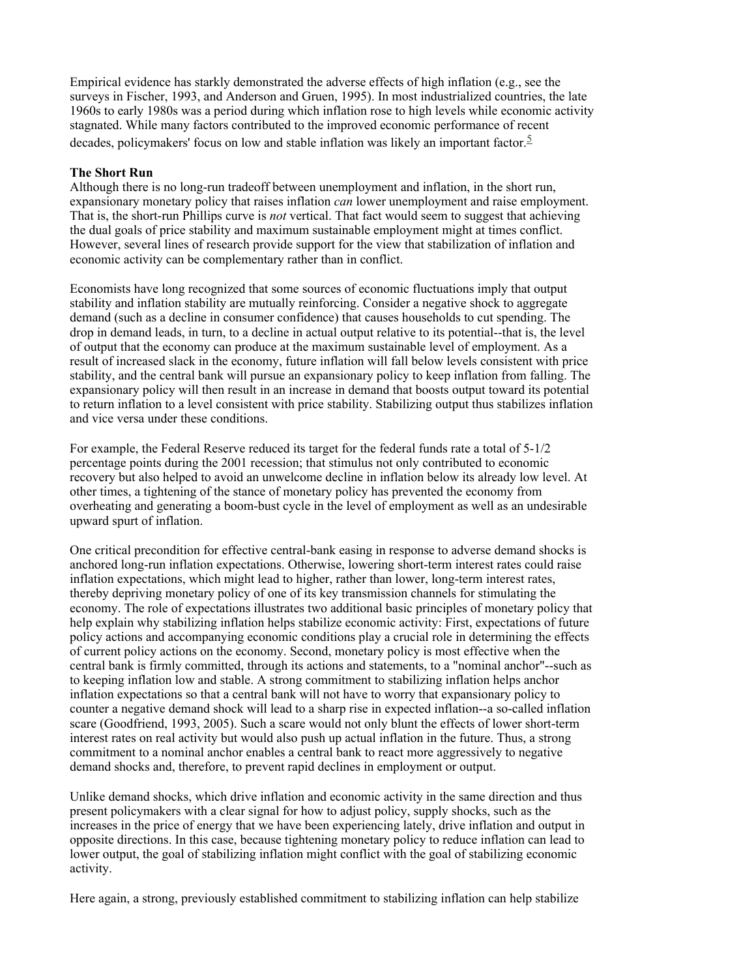Empirical evidence has starkly demonstrated the adverse effects of high inflation (e.g., see the surveys in Fischer, 1993, and Anderson and Gruen, 1995). In most industrialized countries, the late 1960s to early 1980s was a period during which inflation rose to high levels while economic activity stagnated. While many factors contributed to the improved economic performance of recent decades, policymakers' focus on low and stable inflation was likely an important factor.<sup>5</sup>

#### **The Short Run**

Although there is no long-run tradeoff between unemployment and inflation, in the short run, expansionary monetary policy that raises inflation *can* lower unemployment and raise employment. That is, the short-run Phillips curve is *not* vertical. That fact would seem to suggest that achieving the dual goals of price stability and maximum sustainable employment might at times conflict. However, several lines of research provide support for the view that stabilization of inflation and economic activity can be complementary rather than in conflict.

Economists have long recognized that some sources of economic fluctuations imply that output stability and inflation stability are mutually reinforcing. Consider a negative shock to aggregate demand (such as a decline in consumer confidence) that causes households to cut spending. The drop in demand leads, in turn, to a decline in actual output relative to its potential--that is, the level of output that the economy can produce at the maximum sustainable level of employment. As a result of increased slack in the economy, future inflation will fall below levels consistent with price stability, and the central bank will pursue an expansionary policy to keep inflation from falling. The expansionary policy will then result in an increase in demand that boosts output toward its potential to return inflation to a level consistent with price stability. Stabilizing output thus stabilizes inflation and vice versa under these conditions.

For example, the Federal Reserve reduced its target for the federal funds rate a total of 5-1/2 percentage points during the 2001 recession; that stimulus not only contributed to economic recovery but also helped to avoid an unwelcome decline in inflation below its already low level. At other times, a tightening of the stance of monetary policy has prevented the economy from overheating and generating a boom-bust cycle in the level of employment as well as an undesirable upward spurt of inflation.

One critical precondition for effective central-bank easing in response to adverse demand shocks is anchored long-run inflation expectations. Otherwise, lowering short-term interest rates could raise inflation expectations, which might lead to higher, rather than lower, long-term interest rates, thereby depriving monetary policy of one of its key transmission channels for stimulating the economy. The role of expectations illustrates two additional basic principles of monetary policy that help explain why stabilizing inflation helps stabilize economic activity: First, expectations of future policy actions and accompanying economic conditions play a crucial role in determining the effects of current policy actions on the economy. Second, monetary policy is most effective when the central bank is firmly committed, through its actions and statements, to a "nominal anchor"--such as to keeping inflation low and stable. A strong commitment to stabilizing inflation helps anchor inflation expectations so that a central bank will not have to worry that expansionary policy to counter a negative demand shock will lead to a sharp rise in expected inflation--a so-called inflation scare (Goodfriend, 1993, 2005). Such a scare would not only blunt the effects of lower short-term interest rates on real activity but would also push up actual inflation in the future. Thus, a strong commitment to a nominal anchor enables a central bank to react more aggressively to negative demand shocks and, therefore, to prevent rapid declines in employment or output.

Unlike demand shocks, which drive inflation and economic activity in the same direction and thus present policymakers with a clear signal for how to adjust policy, supply shocks, such as the increases in the price of energy that we have been experiencing lately, drive inflation and output in opposite directions. In this case, because tightening monetary policy to reduce inflation can lead to lower output, the goal of stabilizing inflation might conflict with the goal of stabilizing economic activity.

Here again, a strong, previously established commitment to stabilizing inflation can help stabilize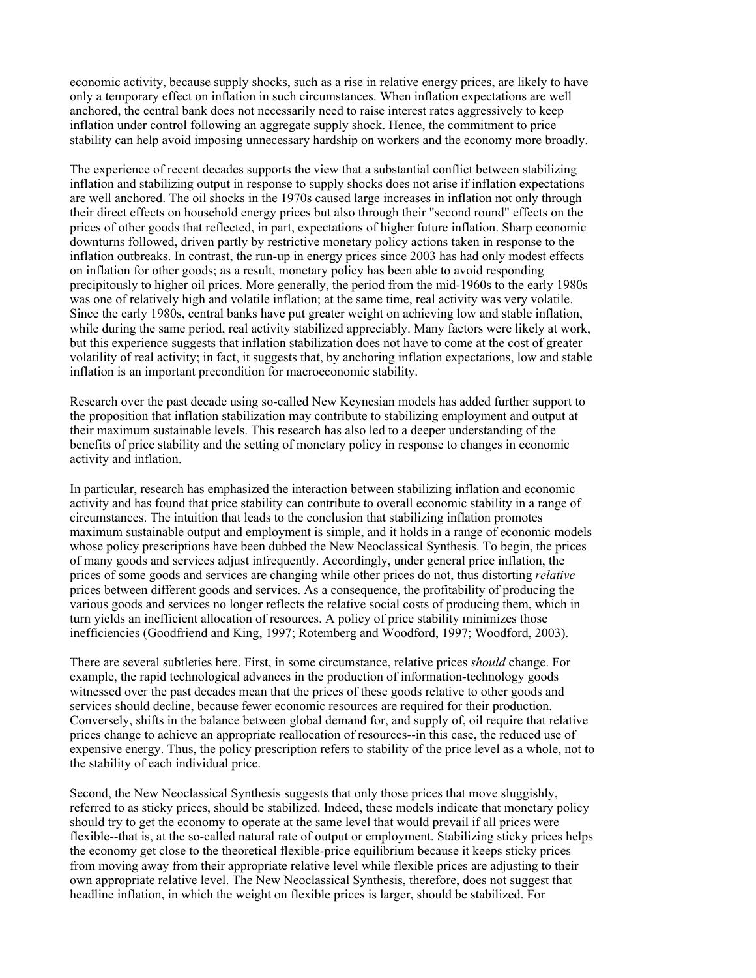economic activity, because supply shocks, such as a rise in relative energy prices, are likely to have only a temporary effect on inflation in such circumstances. When inflation expectations are well anchored, the central bank does not necessarily need to raise interest rates aggressively to keep inflation under control following an aggregate supply shock. Hence, the commitment to price stability can help avoid imposing unnecessary hardship on workers and the economy more broadly.

The experience of recent decades supports the view that a substantial conflict between stabilizing inflation and stabilizing output in response to supply shocks does not arise if inflation expectations are well anchored. The oil shocks in the 1970s caused large increases in inflation not only through their direct effects on household energy prices but also through their "second round" effects on the prices of other goods that reflected, in part, expectations of higher future inflation. Sharp economic downturns followed, driven partly by restrictive monetary policy actions taken in response to the inflation outbreaks. In contrast, the run-up in energy prices since 2003 has had only modest effects on inflation for other goods; as a result, monetary policy has been able to avoid responding precipitously to higher oil prices. More generally, the period from the mid-1960s to the early 1980s was one of relatively high and volatile inflation; at the same time, real activity was very volatile. Since the early 1980s, central banks have put greater weight on achieving low and stable inflation, while during the same period, real activity stabilized appreciably. Many factors were likely at work, but this experience suggests that inflation stabilization does not have to come at the cost of greater volatility of real activity; in fact, it suggests that, by anchoring inflation expectations, low and stable inflation is an important precondition for macroeconomic stability.

Research over the past decade using so-called New Keynesian models has added further support to the proposition that inflation stabilization may contribute to stabilizing employment and output at their maximum sustainable levels. This research has also led to a deeper understanding of the benefits of price stability and the setting of monetary policy in response to changes in economic activity and inflation.

In particular, research has emphasized the interaction between stabilizing inflation and economic activity and has found that price stability can contribute to overall economic stability in a range of circumstances. The intuition that leads to the conclusion that stabilizing inflation promotes maximum sustainable output and employment is simple, and it holds in a range of economic models whose policy prescriptions have been dubbed the New Neoclassical Synthesis. To begin, the prices of many goods and services adjust infrequently. Accordingly, under general price inflation, the prices of some goods and services are changing while other prices do not, thus distorting *relative* prices between different goods and services. As a consequence, the profitability of producing the various goods and services no longer reflects the relative social costs of producing them, which in turn yields an inefficient allocation of resources. A policy of price stability minimizes those inefficiencies (Goodfriend and King, 1997; Rotemberg and Woodford, 1997; Woodford, 2003).

There are several subtleties here. First, in some circumstance, relative prices *should* change. For example, the rapid technological advances in the production of information-technology goods witnessed over the past decades mean that the prices of these goods relative to other goods and services should decline, because fewer economic resources are required for their production. Conversely, shifts in the balance between global demand for, and supply of, oil require that relative prices change to achieve an appropriate reallocation of resources--in this case, the reduced use of expensive energy. Thus, the policy prescription refers to stability of the price level as a whole, not to the stability of each individual price.

Second, the New Neoclassical Synthesis suggests that only those prices that move sluggishly, referred to as sticky prices, should be stabilized. Indeed, these models indicate that monetary policy should try to get the economy to operate at the same level that would prevail if all prices were flexible--that is, at the so-called natural rate of output or employment. Stabilizing sticky prices helps the economy get close to the theoretical flexible-price equilibrium because it keeps sticky prices from moving away from their appropriate relative level while flexible prices are adjusting to their own appropriate relative level. The New Neoclassical Synthesis, therefore, does not suggest that headline inflation, in which the weight on flexible prices is larger, should be stabilized. For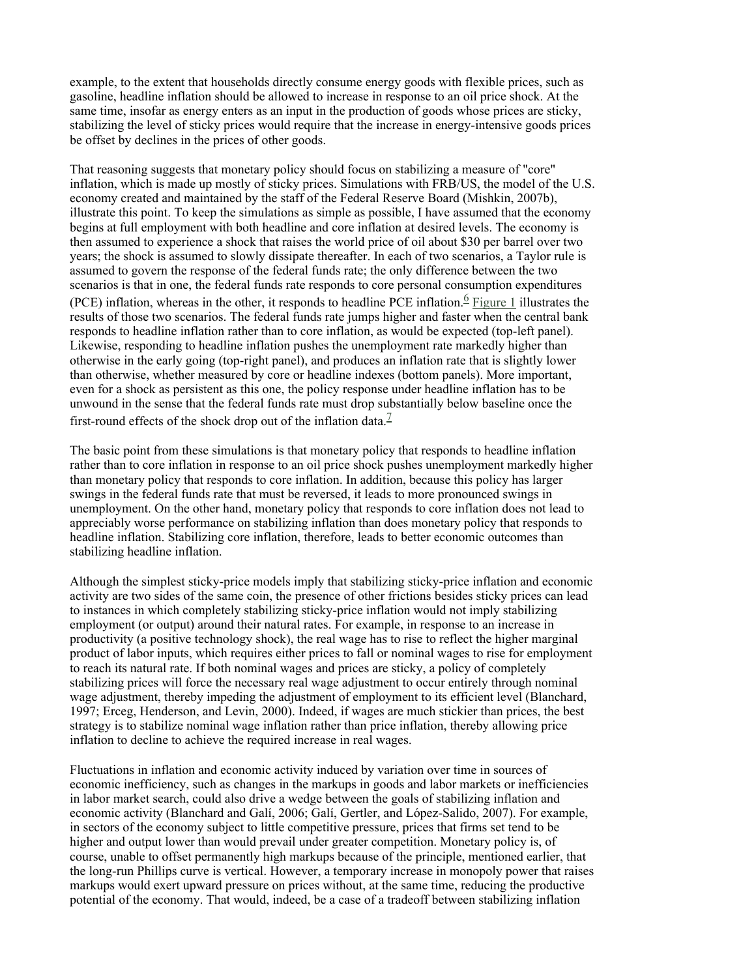example, to the extent that households directly consume energy goods with flexible prices, such as gasoline, headline inflation should be allowed to increase in response to an oil price shock. At the same time, insofar as energy enters as an input in the production of goods whose prices are sticky, stabilizing the level of sticky prices would require that the increase in energy-intensive goods prices be offset by declines in the prices of other goods.

That reasoning suggests that monetary policy should focus on stabilizing a measure of "core" inflation, which is made up mostly of sticky prices. Simulations with FRB/US, the model of the U.S. economy created and maintained by the staff of the Federal Reserve Board (Mishkin, 2007b), illustrate this point. To keep the simulations as simple as possible, I have assumed that the economy begins at full employment with both headline and core inflation at desired levels. The economy is then assumed to experience a shock that raises the world price of oil about \$30 per barrel over two years; the shock is assumed to slowly dissipate thereafter. In each of two scenarios, a Taylor rule is assumed to govern the response of the federal funds rate; the only difference between the two scenarios is that in one, the federal funds rate responds to core personal consumption expenditures (PCE) inflation, whereas in the other, it responds to headline PCE inflation.<sup>6</sup> Figure 1 illustrates the results of those two scenarios. The federal funds rate jumps higher and faster when the central bank responds to headline inflation rather than to core inflation, as would be expected (top-left panel). Likewise, responding to headline inflation pushes the unemployment rate markedly higher than otherwise in the early going (top-right panel), and produces an inflation rate that is slightly lower than otherwise, whether measured by core or headline indexes (bottom panels). More important, even for a shock as persistent as this one, the policy response under headline inflation has to be unwound in the sense that the federal funds rate must drop substantially below baseline once the first-round effects of the shock drop out of the inflation data.<sup>7</sup>

The basic point from these simulations is that monetary policy that responds to headline inflation rather than to core inflation in response to an oil price shock pushes unemployment markedly higher than monetary policy that responds to core inflation. In addition, because this policy has larger swings in the federal funds rate that must be reversed, it leads to more pronounced swings in unemployment. On the other hand, monetary policy that responds to core inflation does not lead to appreciably worse performance on stabilizing inflation than does monetary policy that responds to headline inflation. Stabilizing core inflation, therefore, leads to better economic outcomes than stabilizing headline inflation.

Although the simplest sticky-price models imply that stabilizing sticky-price inflation and economic activity are two sides of the same coin, the presence of other frictions besides sticky prices can lead to instances in which completely stabilizing sticky-price inflation would not imply stabilizing employment (or output) around their natural rates. For example, in response to an increase in productivity (a positive technology shock), the real wage has to rise to reflect the higher marginal product of labor inputs, which requires either prices to fall or nominal wages to rise for employment to reach its natural rate. If both nominal wages and prices are sticky, a policy of completely stabilizing prices will force the necessary real wage adjustment to occur entirely through nominal wage adjustment, thereby impeding the adjustment of employment to its efficient level (Blanchard, 1997; Erceg, Henderson, and Levin, 2000). Indeed, if wages are much stickier than prices, the best strategy is to stabilize nominal wage inflation rather than price inflation, thereby allowing price inflation to decline to achieve the required increase in real wages.

Fluctuations in inflation and economic activity induced by variation over time in sources of economic inefficiency, such as changes in the markups in goods and labor markets or inefficiencies in labor market search, could also drive a wedge between the goals of stabilizing inflation and economic activity (Blanchard and Galí, 2006; Galí, Gertler, and López-Salido, 2007). For example, in sectors of the economy subject to little competitive pressure, prices that firms set tend to be higher and output lower than would prevail under greater competition. Monetary policy is, of course, unable to offset permanently high markups because of the principle, mentioned earlier, that the long-run Phillips curve is vertical. However, a temporary increase in monopoly power that raises markups would exert upward pressure on prices without, at the same time, reducing the productive potential of the economy. That would, indeed, be a case of a tradeoff between stabilizing inflation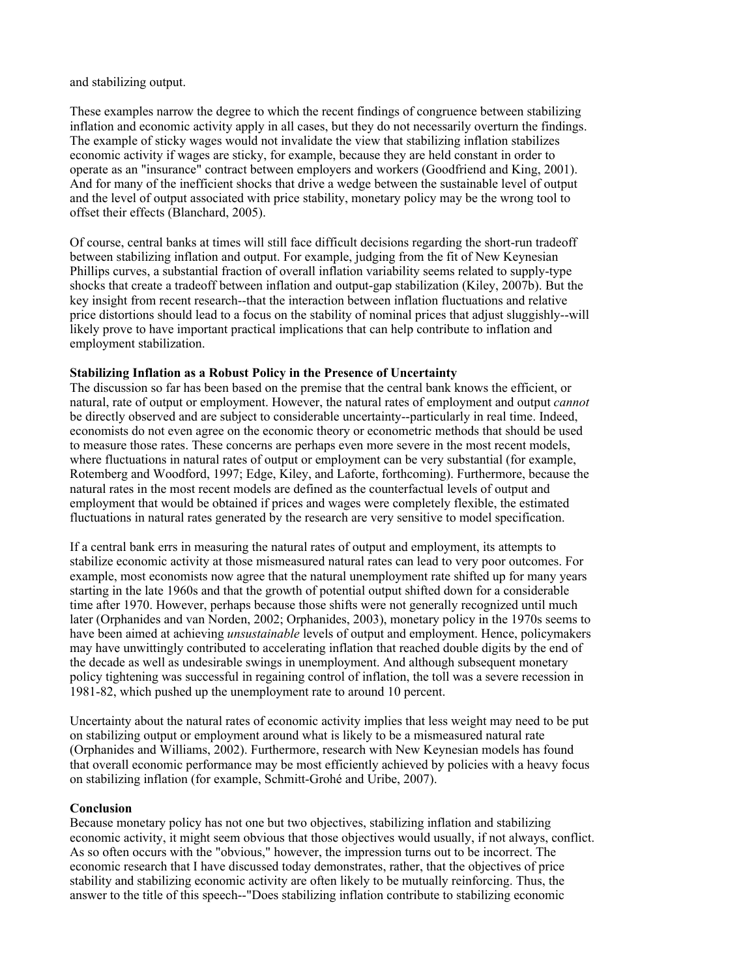and stabilizing output.

These examples narrow the degree to which the recent findings of congruence between stabilizing inflation and economic activity apply in all cases, but they do not necessarily overturn the findings. The example of sticky wages would not invalidate the view that stabilizing inflation stabilizes economic activity if wages are sticky, for example, because they are held constant in order to operate as an "insurance" contract between employers and workers (Goodfriend and King, 2001). And for many of the inefficient shocks that drive a wedge between the sustainable level of output and the level of output associated with price stability, monetary policy may be the wrong tool to offset their effects (Blanchard, 2005).

Of course, central banks at times will still face difficult decisions regarding the short-run tradeoff between stabilizing inflation and output. For example, judging from the fit of New Keynesian Phillips curves, a substantial fraction of overall inflation variability seems related to supply-type shocks that create a tradeoff between inflation and output-gap stabilization (Kiley, 2007b). But the key insight from recent research--that the interaction between inflation fluctuations and relative price distortions should lead to a focus on the stability of nominal prices that adjust sluggishly--will likely prove to have important practical implications that can help contribute to inflation and employment stabilization.

#### **Stabilizing Inflation as a Robust Policy in the Presence of Uncertainty**

The discussion so far has been based on the premise that the central bank knows the efficient, or natural, rate of output or employment. However, the natural rates of employment and output *cannot*  be directly observed and are subject to considerable uncertainty--particularly in real time. Indeed, economists do not even agree on the economic theory or econometric methods that should be used to measure those rates. These concerns are perhaps even more severe in the most recent models, where fluctuations in natural rates of output or employment can be very substantial (for example, Rotemberg and Woodford, 1997; Edge, Kiley, and Laforte, forthcoming). Furthermore, because the natural rates in the most recent models are defined as the counterfactual levels of output and employment that would be obtained if prices and wages were completely flexible, the estimated fluctuations in natural rates generated by the research are very sensitive to model specification.

If a central bank errs in measuring the natural rates of output and employment, its attempts to stabilize economic activity at those mismeasured natural rates can lead to very poor outcomes. For example, most economists now agree that the natural unemployment rate shifted up for many years starting in the late 1960s and that the growth of potential output shifted down for a considerable time after 1970. However, perhaps because those shifts were not generally recognized until much later (Orphanides and van Norden, 2002; Orphanides, 2003), monetary policy in the 1970s seems to have been aimed at achieving *unsustainable* levels of output and employment. Hence, policymakers may have unwittingly contributed to accelerating inflation that reached double digits by the end of the decade as well as undesirable swings in unemployment. And although subsequent monetary policy tightening was successful in regaining control of inflation, the toll was a severe recession in 1981-82, which pushed up the unemployment rate to around 10 percent.

Uncertainty about the natural rates of economic activity implies that less weight may need to be put on stabilizing output or employment around what is likely to be a mismeasured natural rate (Orphanides and Williams, 2002). Furthermore, research with New Keynesian models has found that overall economic performance may be most efficiently achieved by policies with a heavy focus on stabilizing inflation (for example, Schmitt-Grohé and Uribe, 2007).

#### **Conclusion**

Because monetary policy has not one but two objectives, stabilizing inflation and stabilizing economic activity, it might seem obvious that those objectives would usually, if not always, conflict. As so often occurs with the "obvious," however, the impression turns out to be incorrect. The economic research that I have discussed today demonstrates, rather, that the objectives of price stability and stabilizing economic activity are often likely to be mutually reinforcing. Thus, the answer to the title of this speech--"Does stabilizing inflation contribute to stabilizing economic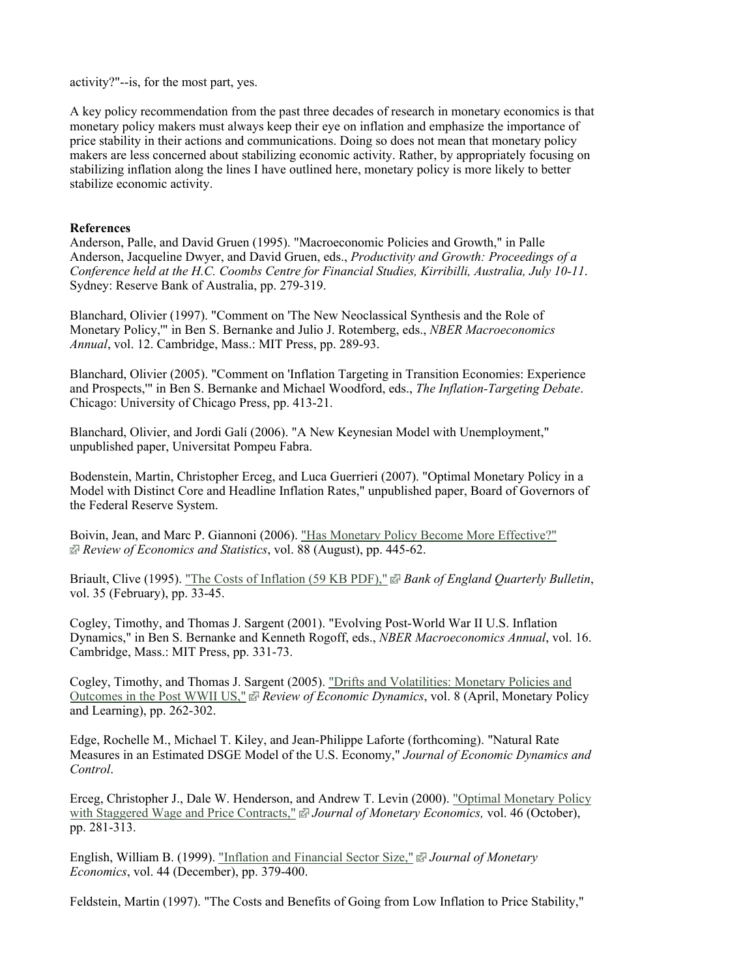activity?"--is, for the most part, yes.

A key policy recommendation from the past three decades of research in monetary economics is that monetary policy makers must always keep their eye on inflation and emphasize the importance of price stability in their actions and communications. Doing so does not mean that monetary policy makers are less concerned about stabilizing economic activity. Rather, by appropriately focusing on stabilizing inflation along the lines I have outlined here, monetary policy is more likely to better stabilize economic activity.

#### **References**

Anderson, Palle, and David Gruen (1995). "Macroeconomic Policies and Growth," in Palle Anderson, Jacqueline Dwyer, and David Gruen, eds., *Productivity and Growth: Proceedings of a Conference held at the H.C. Coombs Centre for Financial Studies, Kirribilli, Australia, July 10-11*. Sydney: Reserve Bank of Australia, pp. 279-319.

Blanchard, Olivier (1997). "Comment on 'The New Neoclassical Synthesis and the Role of Monetary Policy,'" in Ben S. Bernanke and Julio J. Rotemberg, eds., *NBER Macroeconomics Annual*, vol. 12. Cambridge, Mass.: MIT Press, pp. 289-93.

Blanchard, Olivier (2005). "Comment on 'Inflation Targeting in Transition Economies: Experience and Prospects,'" in Ben S. Bernanke and Michael Woodford, eds., *The Inflation-Targeting Debate*. Chicago: University of Chicago Press, pp. 413-21.

Blanchard, Olivier, and Jordi Galí (2006). "A New Keynesian Model with Unemployment," unpublished paper, Universitat Pompeu Fabra.

Bodenstein, Martin, Christopher Erceg, and Luca Guerrieri (2007). "Optimal Monetary Policy in a Model with Distinct Core and Headline Inflation Rates," unpublished paper, Board of Governors of the Federal Reserve System.

Boivin, Jean, and Marc P. Giannoni (2006). "Has Monetary Policy Become More Effective?"  *Review of Economics and Statistics*, vol. 88 (August), pp. 445-62.

Briault, Clive (1995). "The Costs of Inflation (59 KB PDF)," *Bank of England Quarterly Bulletin*, vol. 35 (February), pp. 33-45.

Cogley, Timothy, and Thomas J. Sargent (2001). "Evolving Post-World War II U.S. Inflation Dynamics," in Ben S. Bernanke and Kenneth Rogoff, eds., *NBER Macroeconomics Annual*, vol. 16. Cambridge, Mass.: MIT Press, pp. 331-73.

Cogley, Timothy, and Thomas J. Sargent (2005). "Drifts and Volatilities: Monetary Policies and Outcomes in the Post WWII US," Peview of Economic Dynamics, vol. 8 (April, Monetary Policy and Learning), pp. 262-302.

Edge, Rochelle M., Michael T. Kiley, and Jean-Philippe Laforte (forthcoming). "Natural Rate Measures in an Estimated DSGE Model of the U.S. Economy," *Journal of Economic Dynamics and Control*.

Erceg, Christopher J., Dale W. Henderson, and Andrew T. Levin (2000). "Optimal Monetary Policy with Staggered Wage and Price Contracts," *Journal of Monetary Economics,* vol. 46 (October), pp. 281-313.

English, William B. (1999). "Inflation and Financial Sector Size," *Journal of Monetary Economics*, vol. 44 (December), pp. 379-400.

Feldstein, Martin (1997). "The Costs and Benefits of Going from Low Inflation to Price Stability,"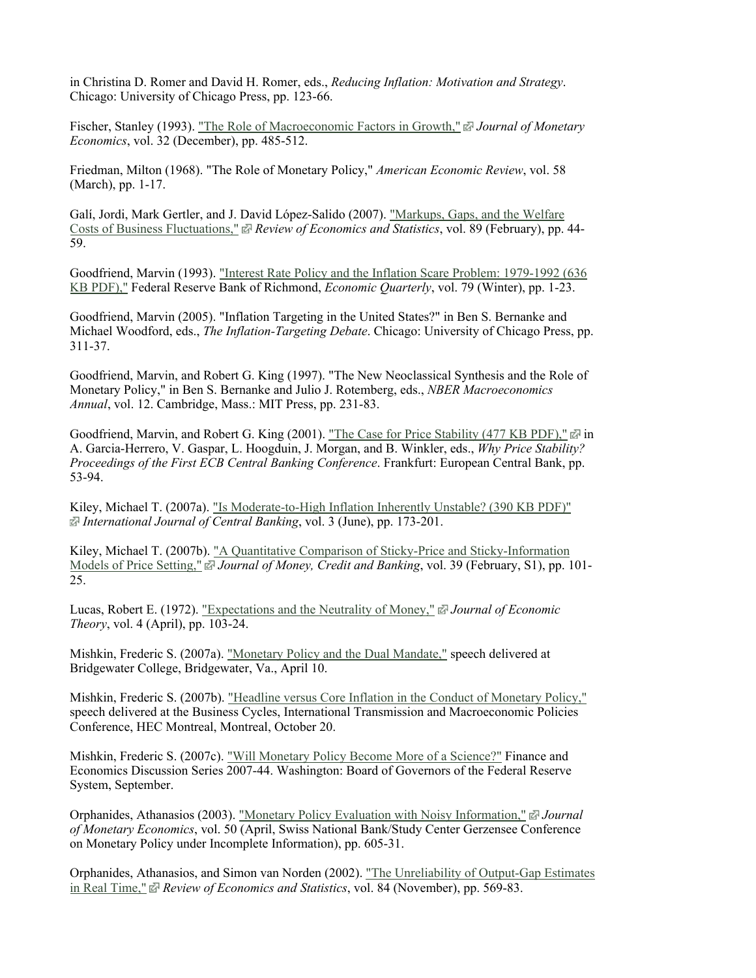in Christina D. Romer and David H. Romer, eds., *Reducing Inflation: Motivation and Strategy*. Chicago: University of Chicago Press, pp. 123-66.

Fischer, Stanley (1993). "The Role of Macroeconomic Factors in Growth,"  $\vec{\omega}$  Journal of Monetary *Economics*, vol. 32 (December), pp. 485-512.

Friedman, Milton (1968). "The Role of Monetary Policy," *American Economic Review*, vol. 58 (March), pp. 1-17.

Galí, Jordi, Mark Gertler, and J. David López-Salido (2007). "Markups, Gaps, and the Welfare Costs of Business Fluctuations," *Review of Economics and Statistics*, vol. 89 (February), pp. 44- 59.

Goodfriend, Marvin (1993). "Interest Rate Policy and the Inflation Scare Problem: 1979-1992 (636 KB PDF)," Federal Reserve Bank of Richmond, *Economic Quarterly*, vol. 79 (Winter), pp. 1-23.

Goodfriend, Marvin (2005). "Inflation Targeting in the United States?" in Ben S. Bernanke and Michael Woodford, eds., *The Inflation-Targeting Debate*. Chicago: University of Chicago Press, pp. 311-37.

Goodfriend, Marvin, and Robert G. King (1997). "The New Neoclassical Synthesis and the Role of Monetary Policy," in Ben S. Bernanke and Julio J. Rotemberg, eds., *NBER Macroeconomics Annual*, vol. 12. Cambridge, Mass.: MIT Press, pp. 231-83.

Goodfriend, Marvin, and Robert G. King (2001). "The Case for Price Stability (477 KB PDF),"  $\vec{a}$  in A. Garcia-Herrero, V. Gaspar, L. Hoogduin, J. Morgan, and B. Winkler, eds., *Why Price Stability? Proceedings of the First ECB Central Banking Conference*. Frankfurt: European Central Bank, pp. 53-94.

Kiley, Michael T. (2007a). "Is Moderate-to-High Inflation Inherently Unstable? (390 KB PDF)"  *International Journal of Central Banking*, vol. 3 (June), pp. 173-201.

Kiley, Michael T. (2007b). "A Quantitative Comparison of Sticky-Price and Sticky-Information Models of Price Setting,"  $\mathbb{F}$  Journal of Money, Credit and Banking, vol. 39 (February, S1), pp. 101-25.

Lucas, Robert E. (1972). "Expectations and the Neutrality of Money," *Journal of Economic Theory*, vol. 4 (April), pp. 103-24.

Mishkin, Frederic S. (2007a). "Monetary Policy and the Dual Mandate," speech delivered at Bridgewater College, Bridgewater, Va., April 10.

Mishkin, Frederic S. (2007b). "Headline versus Core Inflation in the Conduct of Monetary Policy," speech delivered at the Business Cycles, International Transmission and Macroeconomic Policies Conference, HEC Montreal, Montreal, October 20.

Mishkin, Frederic S. (2007c). "Will Monetary Policy Become More of a Science?" Finance and Economics Discussion Series 2007-44. Washington: Board of Governors of the Federal Reserve System, September.

Orphanides, Athanasios (2003). "Monetary Policy Evaluation with Noisy Information,"  $\mathbb{F}$  Journal *of Monetary Economics*, vol. 50 (April, Swiss National Bank/Study Center Gerzensee Conference on Monetary Policy under Incomplete Information), pp. 605-31.

Orphanides, Athanasios, and Simon van Norden (2002). "The Unreliability of Output-Gap Estimates in Real Time," *Review of Economics and Statistics*, vol. 84 (November), pp. 569-83.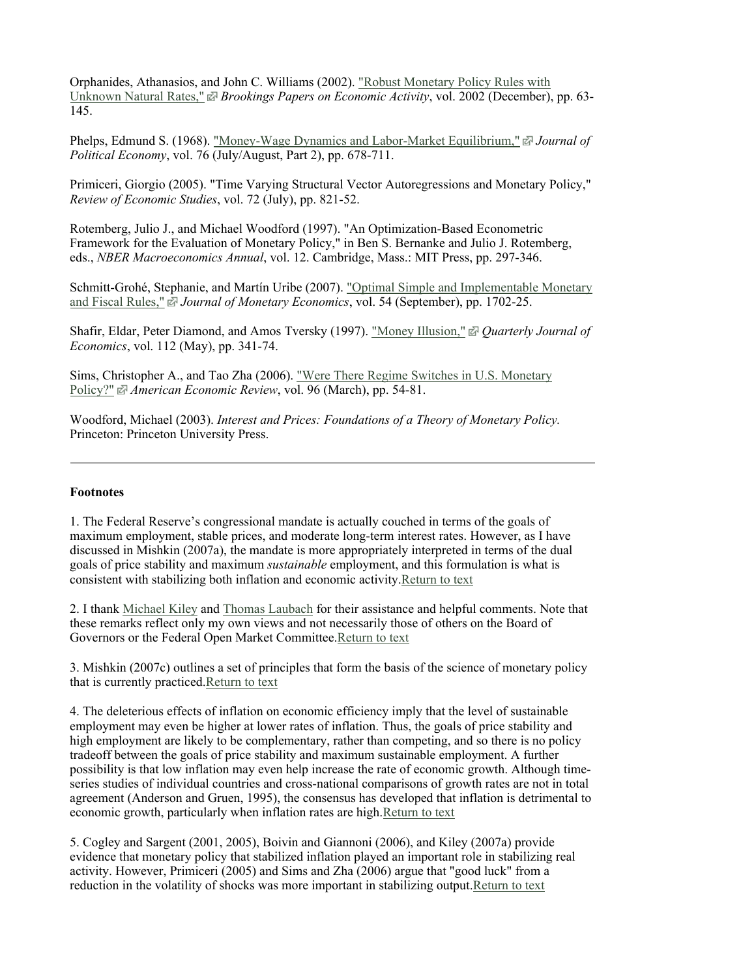Orphanides, Athanasios, and John C. Williams (2002). "Robust Monetary Policy Rules with Unknown Natural Rates," *Brookings Papers on Economic Activity*, vol. 2002 (December), pp. 63- 145.

Phelps, Edmund S. (1968). "Money-Wage Dynamics and Labor-Market Equilibrium,"  $\mathbb{Z}$  Journal of *Political Economy*, vol. 76 (July/August, Part 2), pp. 678-711.

Primiceri, Giorgio (2005). "Time Varying Structural Vector Autoregressions and Monetary Policy," *Review of Economic Studies*, vol. 72 (July), pp. 821-52.

Rotemberg, Julio J., and Michael Woodford (1997). "An Optimization-Based Econometric Framework for the Evaluation of Monetary Policy," in Ben S. Bernanke and Julio J. Rotemberg, eds., *NBER Macroeconomics Annual*, vol. 12. Cambridge, Mass.: MIT Press, pp. 297-346.

Schmitt-Grohé, Stephanie, and Martín Uribe (2007). "Optimal Simple and Implementable Monetary and Fiscal Rules," *Journal of Monetary Economics*, vol. 54 (September), pp. 1702-25.

Shafir, Eldar, Peter Diamond, and Amos Tversky (1997). "Money Illusion," *Quarterly Journal of Economics*, vol. 112 (May), pp. 341-74.

Sims, Christopher A., and Tao Zha (2006). "Were There Regime Switches in U.S. Monetary Policy?" *American Economic Review*, vol. 96 (March), pp. 54-81.

Woodford, Michael (2003). *Interest and Prices: Foundations of a Theory of Monetary Policy.*  Princeton: Princeton University Press.

#### **Footnotes**

1. The Federal Reserve's congressional mandate is actually couched in terms of the goals of maximum employment, stable prices, and moderate long-term interest rates. However, as I have discussed in Mishkin (2007a), the mandate is more appropriately interpreted in terms of the dual goals of price stability and maximum *sustainable* employment, and this formulation is what is consistent with stabilizing both inflation and economic activity.Return to text

2. I thank Michael Kiley and Thomas Laubach for their assistance and helpful comments. Note that these remarks reflect only my own views and not necessarily those of others on the Board of Governors or the Federal Open Market Committee.Return to text

3. Mishkin (2007c) outlines a set of principles that form the basis of the science of monetary policy that is currently practiced.Return to text

4. The deleterious effects of inflation on economic efficiency imply that the level of sustainable employment may even be higher at lower rates of inflation. Thus, the goals of price stability and high employment are likely to be complementary, rather than competing, and so there is no policy tradeoff between the goals of price stability and maximum sustainable employment. A further possibility is that low inflation may even help increase the rate of economic growth. Although timeseries studies of individual countries and cross-national comparisons of growth rates are not in total agreement (Anderson and Gruen, 1995), the consensus has developed that inflation is detrimental to economic growth, particularly when inflation rates are high.Return to text

5. Cogley and Sargent (2001, 2005), Boivin and Giannoni (2006), and Kiley (2007a) provide evidence that monetary policy that stabilized inflation played an important role in stabilizing real activity. However, Primiceri (2005) and Sims and Zha (2006) argue that "good luck" from a reduction in the volatility of shocks was more important in stabilizing output.Return to text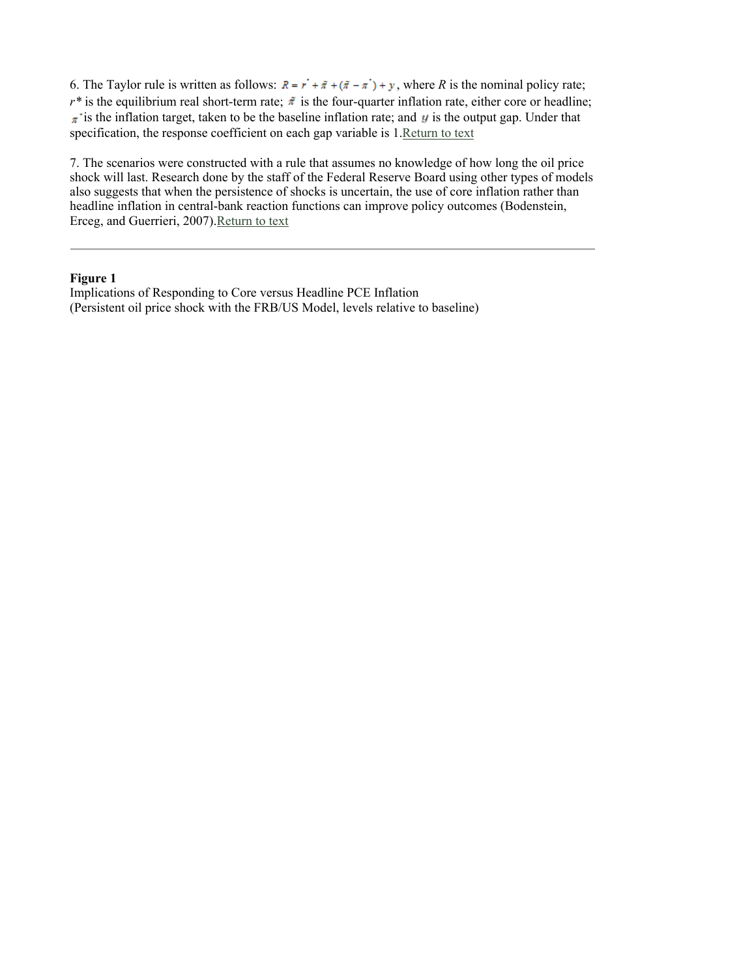6. The Taylor rule is written as follows:  $R = r^* + \tilde{\pi} + (\tilde{\pi} - \pi^*) + y$ , where *R* is the nominal policy rate;  $r^*$  is the equilibrium real short-term rate;  $\pi$  is the four-quarter inflation rate, either core or headline;  $\pi$  is the inflation target, taken to be the baseline inflation rate; and  $\mu$  is the output gap. Under that specification, the response coefficient on each gap variable is 1.Return to text

7. The scenarios were constructed with a rule that assumes no knowledge of how long the oil price shock will last. Research done by the staff of the Federal Reserve Board using other types of models also suggests that when the persistence of shocks is uncertain, the use of core inflation rather than headline inflation in central-bank reaction functions can improve policy outcomes (Bodenstein, Erceg, and Guerrieri, 2007).Return to text

#### **Figure 1**

Implications of Responding to Core versus Headline PCE Inflation (Persistent oil price shock with the FRB/US Model, levels relative to baseline)